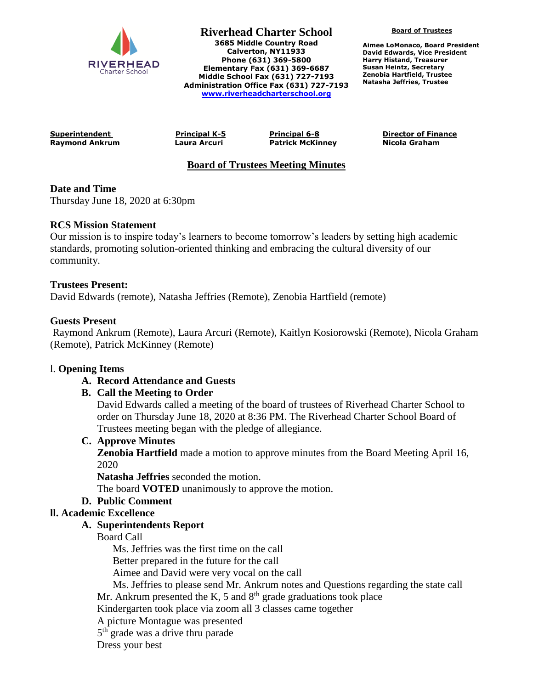

**Riverhead Charter School 3685 Middle Country Road Calverton, NY11933 Phone (631) 369-5800 Elementary Fax (631) 369-6687 Middle School Fax (631) 727-7193 Administration Office Fax (631) 727-7193 [www.riverheadcharterschool.org](http://www.riverheadcharterschool.org/)**

**Board of Trustees**

**Aimee LoMonaco, Board President David Edwards, Vice President Harry Histand, Treasurer Susan Heintz, Secretary Zenobia Hartfield, Trustee Natasha Jeffries, Trustee**

**Raymond Ankrum Laura Arcuri Patrick McKinney Nicola Graham**

**Superintendent Principal K-5 Principal 6-8 Director of Finance**

# **Board of Trustees Meeting Minutes**

# **Date and Time**

Thursday June 18, 2020 at 6:30pm

### **RCS Mission Statement**

Our mission is to inspire today's learners to become tomorrow's leaders by setting high academic standards, promoting solution-oriented thinking and embracing the cultural diversity of our community.

### **Trustees Present:**

David Edwards (remote), Natasha Jeffries (Remote), Zenobia Hartfield (remote)

### **Guests Present**

Raymond Ankrum (Remote), Laura Arcuri (Remote), Kaitlyn Kosiorowski (Remote), Nicola Graham (Remote), Patrick McKinney (Remote)

#### l. **Opening Items**

# **A. Record Attendance and Guests**

# **B. Call the Meeting to Order**

David Edwards called a meeting of the board of trustees of Riverhead Charter School to order on Thursday June 18, 2020 at 8:36 PM. The Riverhead Charter School Board of Trustees meeting began with the pledge of allegiance.

#### **C. Approve Minutes**

**Zenobia Hartfield** made a motion to approve minutes from the Board Meeting April 16, 2020

**Natasha Jeffries** seconded the motion.

The board **VOTED** unanimously to approve the motion.

# **D. Public Comment**

# **ll. Academic Excellence**

# **A. Superintendents Report**

Board Call

Ms. Jeffries was the first time on the call

Better prepared in the future for the call

Aimee and David were very vocal on the call

Ms. Jeffries to please send Mr. Ankrum notes and Questions regarding the state call

Mr. Ankrum presented the K, 5 and  $8<sup>th</sup>$  grade graduations took place

Kindergarten took place via zoom all 3 classes came together

A picture Montague was presented

5<sup>th</sup> grade was a drive thru parade

Dress your best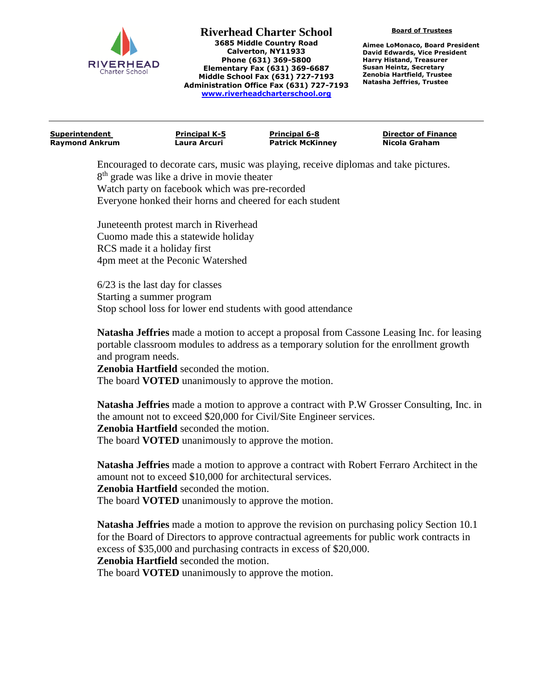

**Riverhead Charter School 3685 Middle Country Road Calverton, NY11933 Phone (631) 369-5800 Elementary Fax (631) 369-6687 Middle School Fax (631) 727-7193 Administration Office Fax (631) 727-7193 [www.riverheadcharterschool.org](http://www.riverheadcharterschool.org/)**

**Board of Trustees**

**Aimee LoMonaco, Board President David Edwards, Vice President Harry Histand, Treasurer Susan Heintz, Secretary Zenobia Hartfield, Trustee Natasha Jeffries, Trustee**

| Superintendent | <b>Principal K-5</b> | <b>Principal 6-8</b>    | <b>Director of Finance</b> |
|----------------|----------------------|-------------------------|----------------------------|
| Raymond Ankrum | Laura Arcuri         | <b>Patrick McKinney</b> | Nicola Graham              |
|                |                      |                         |                            |

Encouraged to decorate cars, music was playing, receive diplomas and take pictures. 8<sup>th</sup> grade was like a drive in movie theater Watch party on facebook which was pre-recorded Everyone honked their horns and cheered for each student

Juneteenth protest march in Riverhead Cuomo made this a statewide holiday RCS made it a holiday first 4pm meet at the Peconic Watershed

6/23 is the last day for classes Starting a summer program Stop school loss for lower end students with good attendance

**Natasha Jeffries** made a motion to accept a proposal from Cassone Leasing Inc. for leasing portable classroom modules to address as a temporary solution for the enrollment growth and program needs.

**Zenobia Hartfield** seconded the motion. The board **VOTED** unanimously to approve the motion.

**Natasha Jeffries** made a motion to approve a contract with P.W Grosser Consulting, Inc. in the amount not to exceed \$20,000 for Civil/Site Engineer services. **Zenobia Hartfield** seconded the motion. The board **VOTED** unanimously to approve the motion.

**Natasha Jeffries** made a motion to approve a contract with Robert Ferraro Architect in the amount not to exceed \$10,000 for architectural services.

**Zenobia Hartfield** seconded the motion.

The board **VOTED** unanimously to approve the motion.

**Natasha Jeffries** made a motion to approve the revision on purchasing policy Section 10.1 for the Board of Directors to approve contractual agreements for public work contracts in excess of \$35,000 and purchasing contracts in excess of \$20,000.

**Zenobia Hartfield** seconded the motion.

The board **VOTED** unanimously to approve the motion.